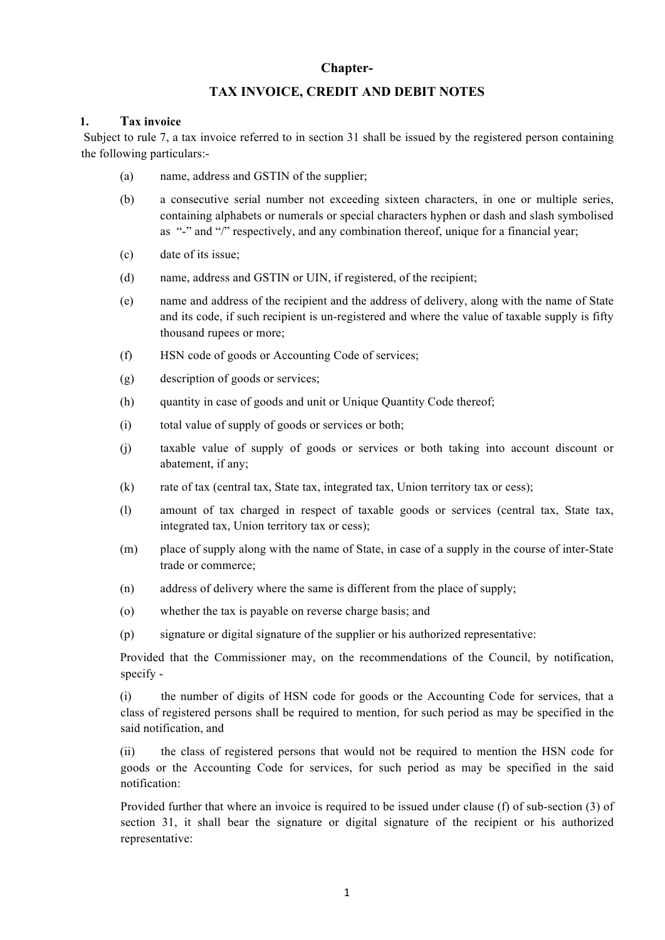# **Chapter-**

# **TAX INVOICE, CREDIT AND DEBIT NOTES**

## **1. Tax invoice**

Subject to rule 7, a tax invoice referred to in section 31 shall be issued by the registered person containing the following particulars:-

- (a) name, address and GSTIN of the supplier;
- (b) a consecutive serial number not exceeding sixteen characters, in one or multiple series, containing alphabets or numerals or special characters hyphen or dash and slash symbolised as "-" and "/" respectively, and any combination thereof, unique for a financial year;
- (c) date of its issue;
- (d) name, address and GSTIN or UIN, if registered, of the recipient;
- (e) name and address of the recipient and the address of delivery, along with the name of State and its code, if such recipient is un-registered and where the value of taxable supply is fifty thousand rupees or more;
- (f) HSN code of goods or Accounting Code of services;
- (g) description of goods or services;
- (h) quantity in case of goods and unit or Unique Quantity Code thereof;
- (i) total value of supply of goods or services or both;
- (j) taxable value of supply of goods or services or both taking into account discount or abatement, if any;
- (k) rate of tax (central tax, State tax, integrated tax, Union territory tax or cess);
- (l) amount of tax charged in respect of taxable goods or services (central tax, State tax, integrated tax, Union territory tax or cess);
- (m) place of supply along with the name of State, in case of a supply in the course of inter-State trade or commerce;
- (n) address of delivery where the same is different from the place of supply;
- (o) whether the tax is payable on reverse charge basis; and
- (p) signature or digital signature of the supplier or his authorized representative:

Provided that the Commissioner may, on the recommendations of the Council, by notification, specify -

(i) the number of digits of HSN code for goods or the Accounting Code for services, that a class of registered persons shall be required to mention, for such period as may be specified in the said notification, and

(ii) the class of registered persons that would not be required to mention the HSN code for goods or the Accounting Code for services, for such period as may be specified in the said notification:

Provided further that where an invoice is required to be issued under clause (f) of sub-section (3) of section 31, it shall bear the signature or digital signature of the recipient or his authorized representative: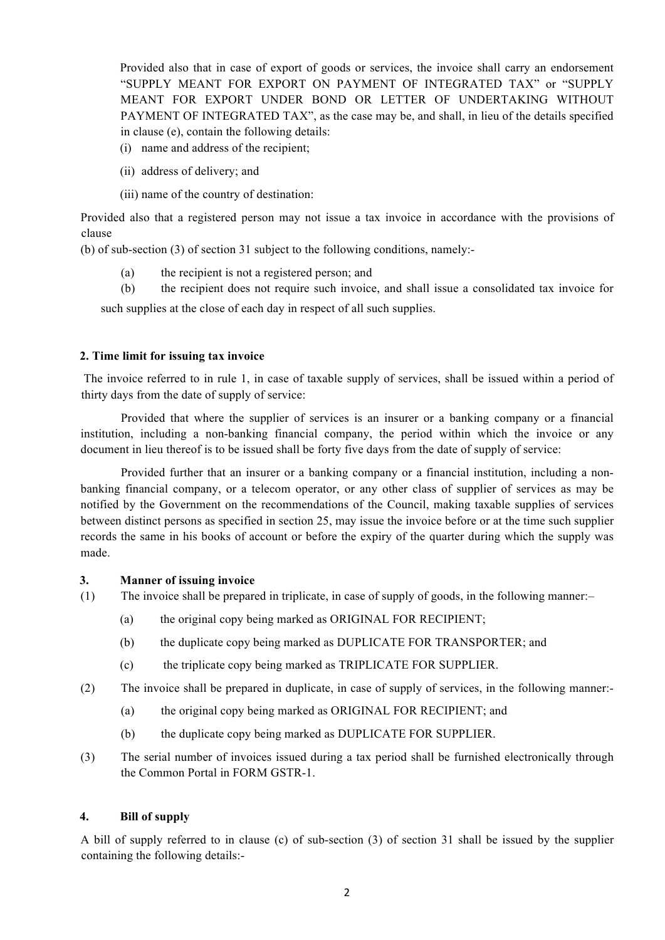Provided also that in case of export of goods or services, the invoice shall carry an endorsement "SUPPLY MEANT FOR EXPORT ON PAYMENT OF INTEGRATED TAX" or "SUPPLY MEANT FOR EXPORT UNDER BOND OR LETTER OF UNDERTAKING WITHOUT PAYMENT OF INTEGRATED TAX", as the case may be, and shall, in lieu of the details specified in clause (e), contain the following details:

- (i) name and address of the recipient;
- (ii) address of delivery; and
- (iii) name of the country of destination:

Provided also that a registered person may not issue a tax invoice in accordance with the provisions of clause

(b) of sub-section (3) of section 31 subject to the following conditions, namely:-

- (a) the recipient is not a registered person; and
- (b) the recipient does not require such invoice, and shall issue a consolidated tax invoice for

such supplies at the close of each day in respect of all such supplies.

## **2. Time limit for issuing tax invoice**

The invoice referred to in rule 1, in case of taxable supply of services, shall be issued within a period of thirty days from the date of supply of service:

Provided that where the supplier of services is an insurer or a banking company or a financial institution, including a non-banking financial company, the period within which the invoice or any document in lieu thereof is to be issued shall be forty five days from the date of supply of service:

Provided further that an insurer or a banking company or a financial institution, including a nonbanking financial company, or a telecom operator, or any other class of supplier of services as may be notified by the Government on the recommendations of the Council, making taxable supplies of services between distinct persons as specified in section 25, may issue the invoice before or at the time such supplier records the same in his books of account or before the expiry of the quarter during which the supply was made.

#### **3. Manner of issuing invoice**

- (1) The invoice shall be prepared in triplicate, in case of supply of goods, in the following manner:–
	- (a) the original copy being marked as ORIGINAL FOR RECIPIENT;
	- (b) the duplicate copy being marked as DUPLICATE FOR TRANSPORTER; and
	- (c) the triplicate copy being marked as TRIPLICATE FOR SUPPLIER.
- (2) The invoice shall be prepared in duplicate, in case of supply of services, in the following manner:-
	- (a) the original copy being marked as ORIGINAL FOR RECIPIENT; and
	- (b) the duplicate copy being marked as DUPLICATE FOR SUPPLIER.
- (3) The serial number of invoices issued during a tax period shall be furnished electronically through the Common Portal in FORM GSTR-1.

#### **4. Bill of supply**

A bill of supply referred to in clause (c) of sub-section (3) of section 31 shall be issued by the supplier containing the following details:-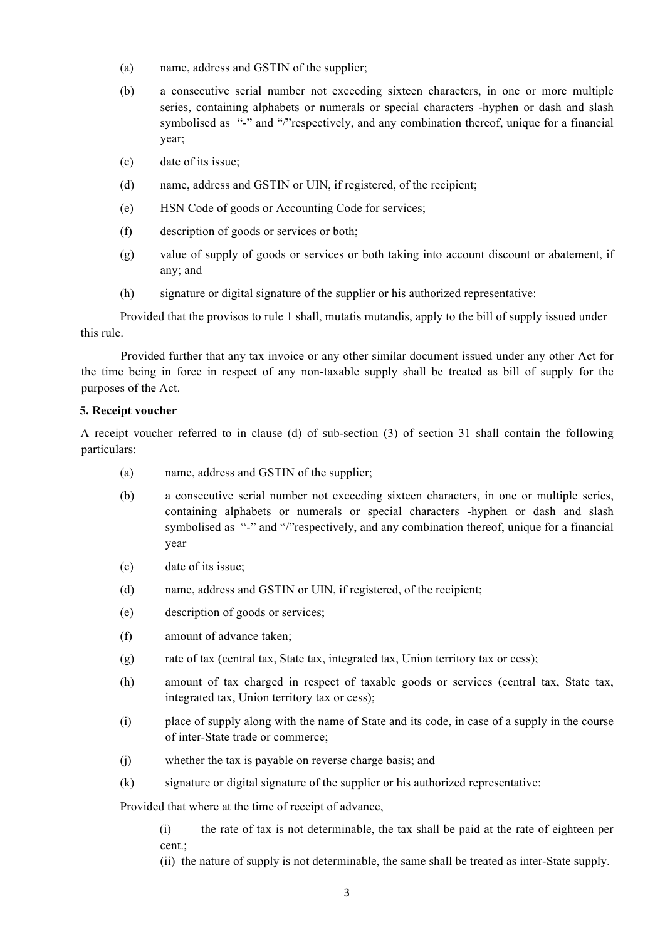- (a) name, address and GSTIN of the supplier;
- (b) a consecutive serial number not exceeding sixteen characters, in one or more multiple series, containing alphabets or numerals or special characters -hyphen or dash and slash symbolised as "-" and "/"respectively, and any combination thereof, unique for a financial year;
- (c) date of its issue;
- (d) name, address and GSTIN or UIN, if registered, of the recipient;
- (e) HSN Code of goods or Accounting Code for services;
- (f) description of goods or services or both;
- (g) value of supply of goods or services or both taking into account discount or abatement, if any; and
- (h) signature or digital signature of the supplier or his authorized representative:

Provided that the provisos to rule 1 shall, mutatis mutandis, apply to the bill of supply issued under this rule.

Provided further that any tax invoice or any other similar document issued under any other Act for the time being in force in respect of any non-taxable supply shall be treated as bill of supply for the purposes of the Act.

#### **5. Receipt voucher**

A receipt voucher referred to in clause (d) of sub-section (3) of section 31 shall contain the following particulars:

- (a) name, address and GSTIN of the supplier;
- (b) a consecutive serial number not exceeding sixteen characters, in one or multiple series, containing alphabets or numerals or special characters -hyphen or dash and slash symbolised as "-" and "/"respectively, and any combination thereof, unique for a financial year
- (c) date of its issue;
- (d) name, address and GSTIN or UIN, if registered, of the recipient;
- (e) description of goods or services;
- (f) amount of advance taken;
- (g) rate of tax (central tax, State tax, integrated tax, Union territory tax or cess);
- (h) amount of tax charged in respect of taxable goods or services (central tax, State tax, integrated tax, Union territory tax or cess);
- (i) place of supply along with the name of State and its code, in case of a supply in the course of inter-State trade or commerce;
- (j) whether the tax is payable on reverse charge basis; and
- (k) signature or digital signature of the supplier or his authorized representative:

Provided that where at the time of receipt of advance,

(i) the rate of tax is not determinable, the tax shall be paid at the rate of eighteen per cent.;

(ii) the nature of supply is not determinable, the same shall be treated as inter-State supply.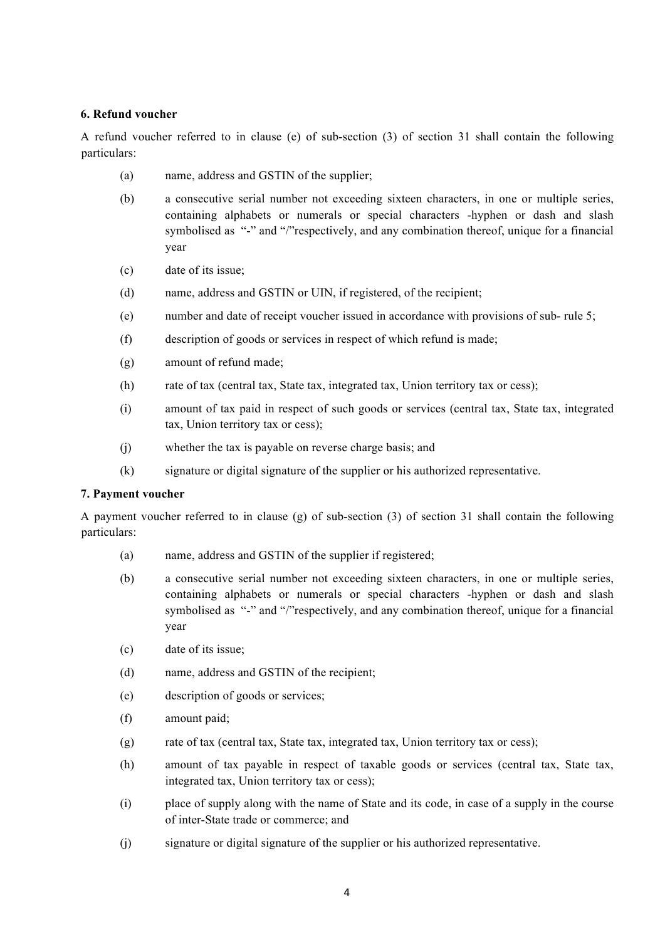#### **6. Refund voucher**

A refund voucher referred to in clause (e) of sub-section (3) of section 31 shall contain the following particulars:

- (a) name, address and GSTIN of the supplier;
- (b) a consecutive serial number not exceeding sixteen characters, in one or multiple series, containing alphabets or numerals or special characters -hyphen or dash and slash symbolised as "-" and "/"respectively, and any combination thereof, unique for a financial year
- (c) date of its issue;
- (d) name, address and GSTIN or UIN, if registered, of the recipient;
- (e) number and date of receipt voucher issued in accordance with provisions of sub- rule 5;
- (f) description of goods or services in respect of which refund is made;
- (g) amount of refund made;
- (h) rate of tax (central tax, State tax, integrated tax, Union territory tax or cess);
- (i) amount of tax paid in respect of such goods or services (central tax, State tax, integrated tax, Union territory tax or cess);
- (j) whether the tax is payable on reverse charge basis; and
- (k) signature or digital signature of the supplier or his authorized representative.

#### **7. Payment voucher**

A payment voucher referred to in clause (g) of sub-section (3) of section 31 shall contain the following particulars:

- (a) name, address and GSTIN of the supplier if registered;
- (b) a consecutive serial number not exceeding sixteen characters, in one or multiple series, containing alphabets or numerals or special characters -hyphen or dash and slash symbolised as "-" and "/"respectively, and any combination thereof, unique for a financial year
- (c) date of its issue;
- (d) name, address and GSTIN of the recipient;
- (e) description of goods or services;
- (f) amount paid;
- (g) rate of tax (central tax, State tax, integrated tax, Union territory tax or cess);
- (h) amount of tax payable in respect of taxable goods or services (central tax, State tax, integrated tax, Union territory tax or cess);
- (i) place of supply along with the name of State and its code, in case of a supply in the course of inter-State trade or commerce; and
- (j) signature or digital signature of the supplier or his authorized representative.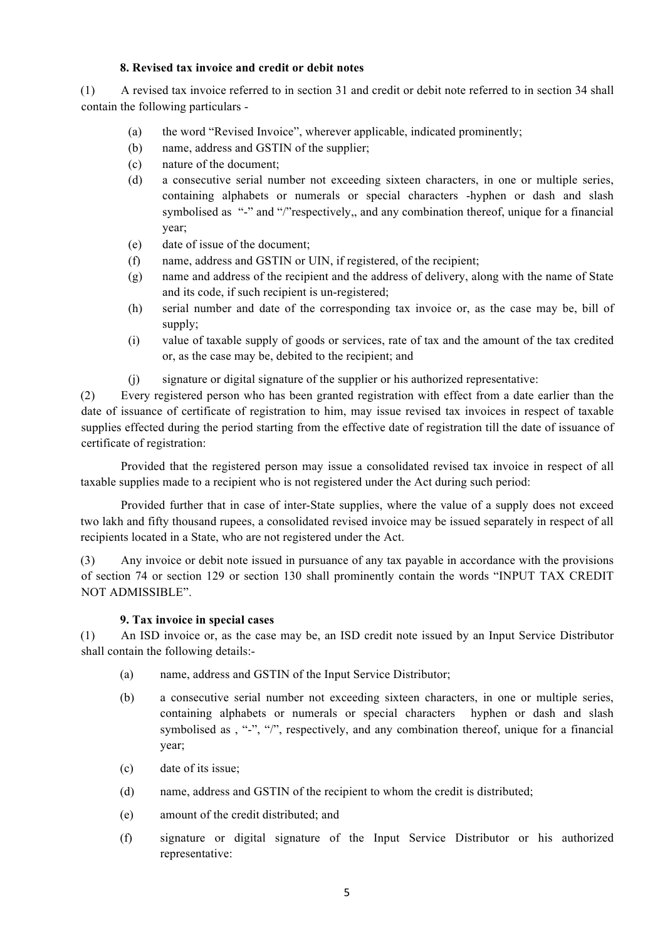## **8. Revised tax invoice and credit or debit notes**

(1) A revised tax invoice referred to in section 31 and credit or debit note referred to in section 34 shall contain the following particulars -

- (a) the word "Revised Invoice", wherever applicable, indicated prominently;
- (b) name, address and GSTIN of the supplier;
- (c) nature of the document;
- (d) a consecutive serial number not exceeding sixteen characters, in one or multiple series, containing alphabets or numerals or special characters -hyphen or dash and slash symbolised as "-" and "/"respectively,, and any combination thereof, unique for a financial year;
- (e) date of issue of the document;
- (f) name, address and GSTIN or UIN, if registered, of the recipient;
- (g) name and address of the recipient and the address of delivery, along with the name of State and its code, if such recipient is un-registered;
- (h) serial number and date of the corresponding tax invoice or, as the case may be, bill of supply;
- (i) value of taxable supply of goods or services, rate of tax and the amount of the tax credited or, as the case may be, debited to the recipient; and
- (j) signature or digital signature of the supplier or his authorized representative:

(2) Every registered person who has been granted registration with effect from a date earlier than the date of issuance of certificate of registration to him, may issue revised tax invoices in respect of taxable supplies effected during the period starting from the effective date of registration till the date of issuance of certificate of registration:

Provided that the registered person may issue a consolidated revised tax invoice in respect of all taxable supplies made to a recipient who is not registered under the Act during such period:

Provided further that in case of inter-State supplies, where the value of a supply does not exceed two lakh and fifty thousand rupees, a consolidated revised invoice may be issued separately in respect of all recipients located in a State, who are not registered under the Act.

(3) Any invoice or debit note issued in pursuance of any tax payable in accordance with the provisions of section 74 or section 129 or section 130 shall prominently contain the words "INPUT TAX CREDIT NOT ADMISSIBLE".

#### **9. Tax invoice in special cases**

(1) An ISD invoice or, as the case may be, an ISD credit note issued by an Input Service Distributor shall contain the following details:-

- (a) name, address and GSTIN of the Input Service Distributor;
- (b) a consecutive serial number not exceeding sixteen characters, in one or multiple series, containing alphabets or numerals or special characters hyphen or dash and slash symbolised as , "-", "/", respectively, and any combination thereof, unique for a financial year;
- (c) date of its issue;
- (d) name, address and GSTIN of the recipient to whom the credit is distributed;
- (e) amount of the credit distributed; and
- (f) signature or digital signature of the Input Service Distributor or his authorized representative: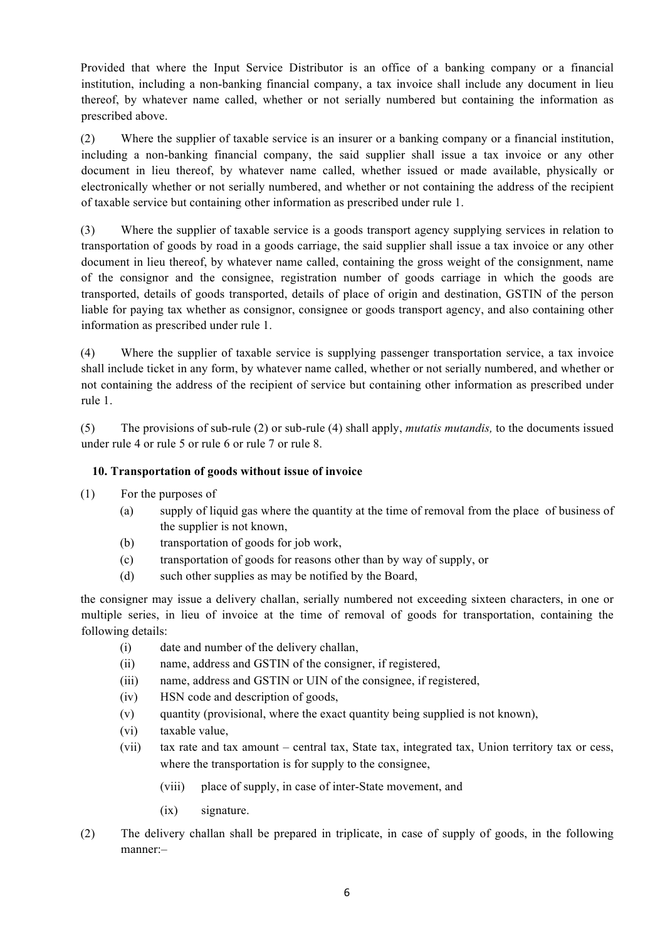Provided that where the Input Service Distributor is an office of a banking company or a financial institution, including a non-banking financial company, a tax invoice shall include any document in lieu thereof, by whatever name called, whether or not serially numbered but containing the information as prescribed above.

(2) Where the supplier of taxable service is an insurer or a banking company or a financial institution, including a non-banking financial company, the said supplier shall issue a tax invoice or any other document in lieu thereof, by whatever name called, whether issued or made available, physically or electronically whether or not serially numbered, and whether or not containing the address of the recipient of taxable service but containing other information as prescribed under rule 1.

(3) Where the supplier of taxable service is a goods transport agency supplying services in relation to transportation of goods by road in a goods carriage, the said supplier shall issue a tax invoice or any other document in lieu thereof, by whatever name called, containing the gross weight of the consignment, name of the consignor and the consignee, registration number of goods carriage in which the goods are transported, details of goods transported, details of place of origin and destination, GSTIN of the person liable for paying tax whether as consignor, consignee or goods transport agency, and also containing other information as prescribed under rule 1.

(4) Where the supplier of taxable service is supplying passenger transportation service, a tax invoice shall include ticket in any form, by whatever name called, whether or not serially numbered, and whether or not containing the address of the recipient of service but containing other information as prescribed under rule 1.

(5) The provisions of sub-rule (2) or sub-rule (4) shall apply, *mutatis mutandis,* to the documents issued under rule 4 or rule 5 or rule 6 or rule 7 or rule 8.

# **10. Transportation of goods without issue of invoice**

- (1) For the purposes of
	- (a) supply of liquid gas where the quantity at the time of removal from the place of business of the supplier is not known,
	- (b) transportation of goods for job work,
	- (c) transportation of goods for reasons other than by way of supply, or
	- (d) such other supplies as may be notified by the Board,

the consigner may issue a delivery challan, serially numbered not exceeding sixteen characters, in one or multiple series, in lieu of invoice at the time of removal of goods for transportation, containing the following details:

- (i) date and number of the delivery challan,
- (ii) name, address and GSTIN of the consigner, if registered,
- (iii) name, address and GSTIN or UIN of the consignee, if registered,
- (iv) HSN code and description of goods,
- (v) quantity (provisional, where the exact quantity being supplied is not known),
- (vi) taxable value,
- (vii) tax rate and tax amount central tax, State tax, integrated tax, Union territory tax or cess, where the transportation is for supply to the consignee,
	- (viii) place of supply, in case of inter-State movement, and
	- (ix) signature.
- (2) The delivery challan shall be prepared in triplicate, in case of supply of goods, in the following manner:–